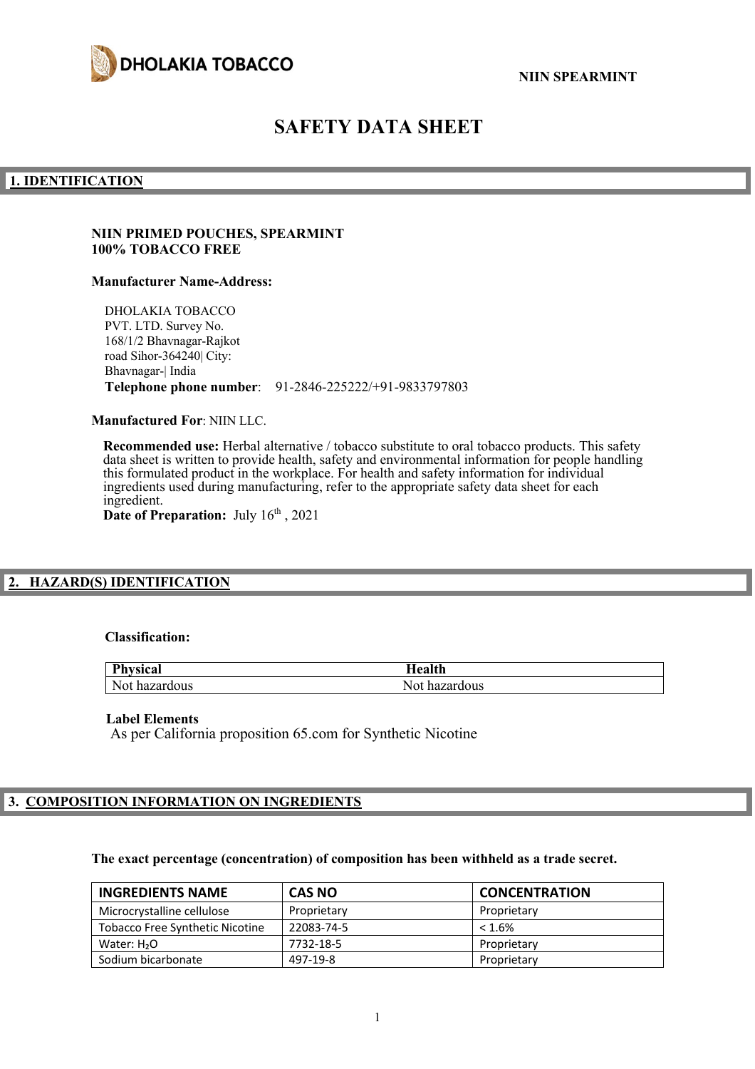

# **SAFETY DATA SHEET**

#### **1. IDENTIFICATION**

#### **NIIN PRIMED POUCHES, SPEARMINT 100% TOBACCO FREE**

#### **Manufacturer Name-Address:**

DHOLAKIA TOBACCO PVT. LTD. Survey No. 168/1/2 Bhavnagar-Rajkot road Sihor-364240| City: Bhavnagar-| India **Telephone phone number**: 91-2846-225222/+91-9833797803

**Manufactured For**: NIIN LLC.

**Recommended use:** Herbal alternative / tobacco substitute to oral tobacco products. This safety data sheet is written to provide health, safety and environmental information for people handling this formulated product in the workplace. For health and safety information for individual ingredients used during manufacturing, refer to the appropriate safety data sheet for each ingredient. Date of Preparation: July  $16<sup>th</sup>$ , 2021

# **2. HAZARD(S) IDENTIFICATION**

#### **Classification:**

| <b>Physical</b> | Iealth        |
|-----------------|---------------|
| Not hazardous   | Not hazardous |

#### **Label Elements**

As per California proposition 65.com for Synthetic Nicotine

# **3. COMPOSITION INFORMATION ON INGREDIENTS**

#### **The exact percentage (concentration) of composition has been withheld as a trade secret.**

| <b>INGREDIENTS NAME</b>                | <b>CAS NO</b> | <b>CONCENTRATION</b> |
|----------------------------------------|---------------|----------------------|
| Microcrystalline cellulose             | Proprietary   | Proprietary          |
| <b>Tobacco Free Synthetic Nicotine</b> | 22083-74-5    | $< 1.6\%$            |
| Water: $H2O$                           | 7732-18-5     | Proprietary          |
| Sodium bicarbonate                     | 497-19-8      | Proprietary          |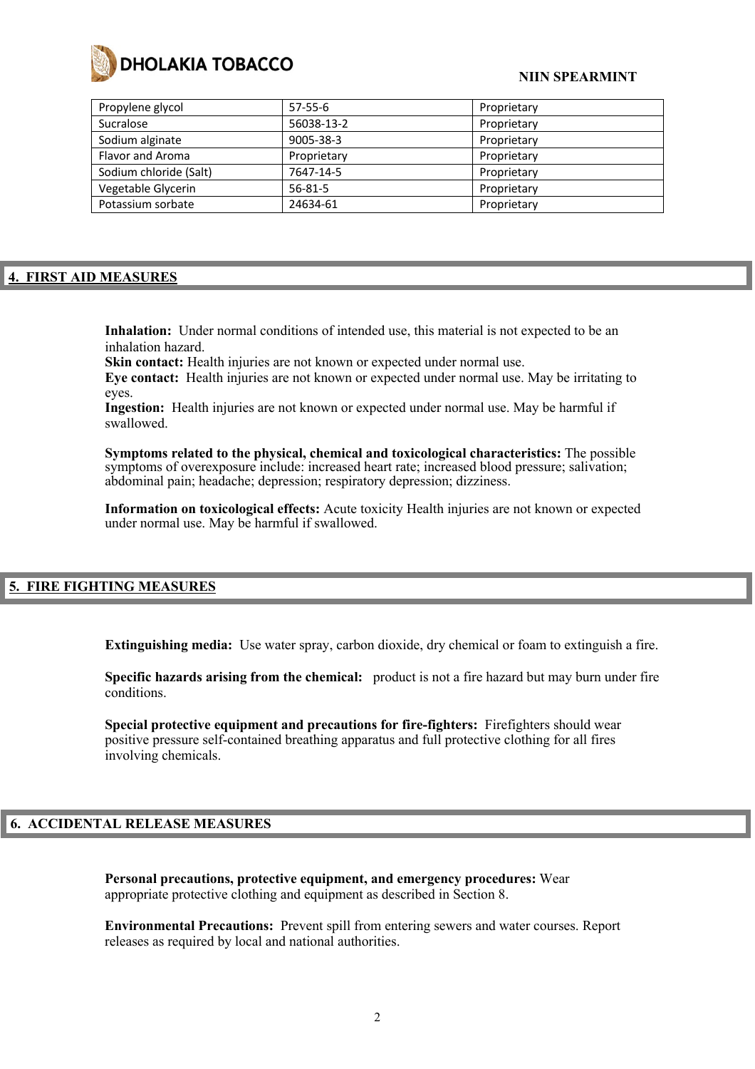

# **NIIN SPEARMINT**

| Propylene glycol       | $57-55-6$     | Proprietary |
|------------------------|---------------|-------------|
| Sucralose              | 56038-13-2    | Proprietary |
| Sodium alginate        | 9005-38-3     | Proprietary |
| Flavor and Aroma       | Proprietary   | Proprietary |
| Sodium chloride (Salt) | 7647-14-5     | Proprietary |
| Vegetable Glycerin     | $56 - 81 - 5$ | Proprietary |
| Potassium sorbate      | 24634-61      | Proprietary |

# **4. FIRST AID MEASURES**

**Inhalation:** Under normal conditions of intended use, this material is not expected to be an inhalation hazard.

Skin contact: Health injuries are not known or expected under normal use.

**Eye contact:** Health injuries are not known or expected under normal use. May be irritating to eyes.

**Ingestion:** Health injuries are not known or expected under normal use. May be harmful if swallowed.

**Symptoms related to the physical, chemical and toxicological characteristics:** The possible symptoms of overexposure include: increased heart rate; increased blood pressure; salivation; abdominal pain; headache; depression; respiratory depression; dizziness.

**Information on toxicological effects:** Acute toxicity Health injuries are not known or expected under normal use. May be harmful if swallowed.

# **5. FIRE FIGHTING MEASURES**

**Extinguishing media:** Use water spray, carbon dioxide, dry chemical or foam to extinguish a fire.

**Specific hazards arising from the chemical:** product is not a fire hazard but may burn under fire conditions.

**Special protective equipment and precautions for fire-fighters:** Firefighters should wear positive pressure self-contained breathing apparatus and full protective clothing for all fires involving chemicals.

#### **6. ACCIDENTAL RELEASE MEASURES**

**Personal precautions, protective equipment, and emergency procedures:** Wear appropriate protective clothing and equipment as described in Section 8.

**Environmental Precautions:** Prevent spill from entering sewers and water courses. Report releases as required by local and national authorities.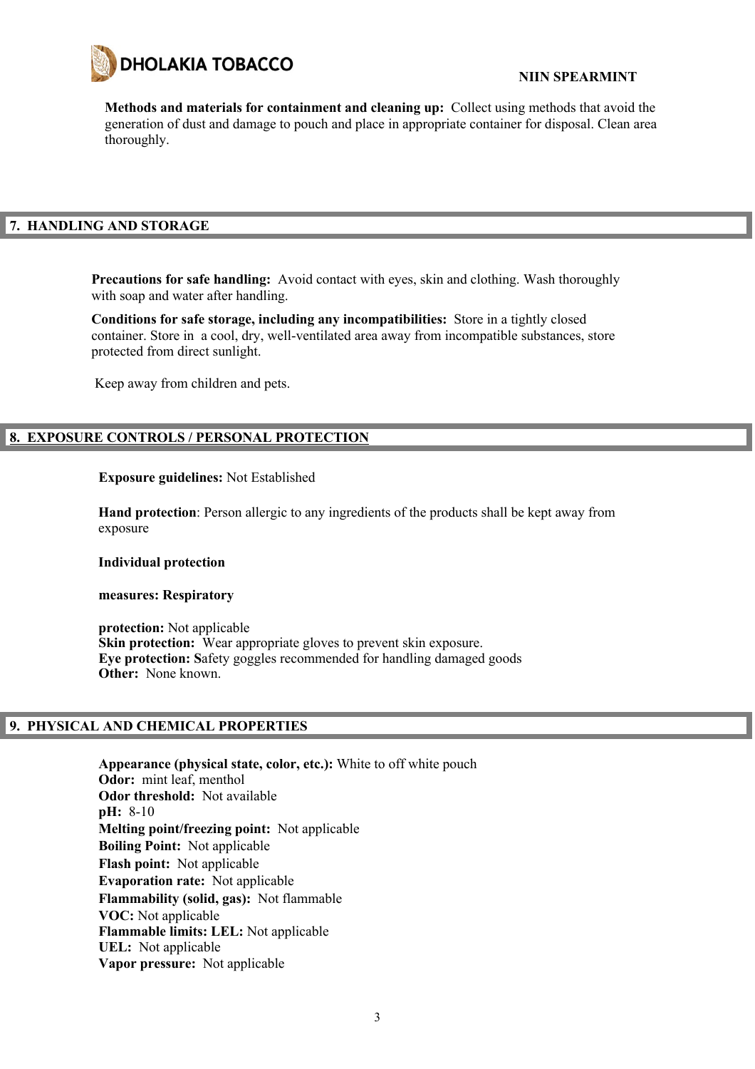

**Methods and materials for containment and cleaning up:** Collect using methods that avoid the generation of dust and damage to pouch and place in appropriate container for disposal. Clean area thoroughly.

# **7. HANDLING AND STORAGE**

**Precautions for safe handling:** Avoid contact with eyes, skin and clothing. Wash thoroughly with soap and water after handling.

**Conditions for safe storage, including any incompatibilities:** Store in a tightly closed container. Store in a cool, dry, well-ventilated area away from incompatible substances, store protected from direct sunlight.

Keep away from children and pets.

# **8. EXPOSURE CONTROLS / PERSONAL PROTECTION**

#### **Exposure guidelines:** Not Established

**Hand protection**: Person allergic to any ingredients of the products shall be kept away from exposure

#### **Individual protection**

#### **measures: Respiratory**

**protection:** Not applicable **Skin protection:** Wear appropriate gloves to prevent skin exposure. **Eye protection: S**afety goggles recommended for handling damaged goods **Other:** None known.

#### **9. PHYSICAL AND CHEMICAL PROPERTIES**

**Appearance (physical state, color, etc.):** White to off white pouch **Odor:** mint leaf, menthol **Odor threshold:** Not available **pH:** 8-10 **Melting point/freezing point:** Not applicable **Boiling Point:** Not applicable **Flash point:** Not applicable **Evaporation rate:** Not applicable **Flammability (solid, gas):** Not flammable **VOC:** Not applicable **Flammable limits: LEL:** Not applicable **UEL:** Not applicable **Vapor pressure:** Not applicable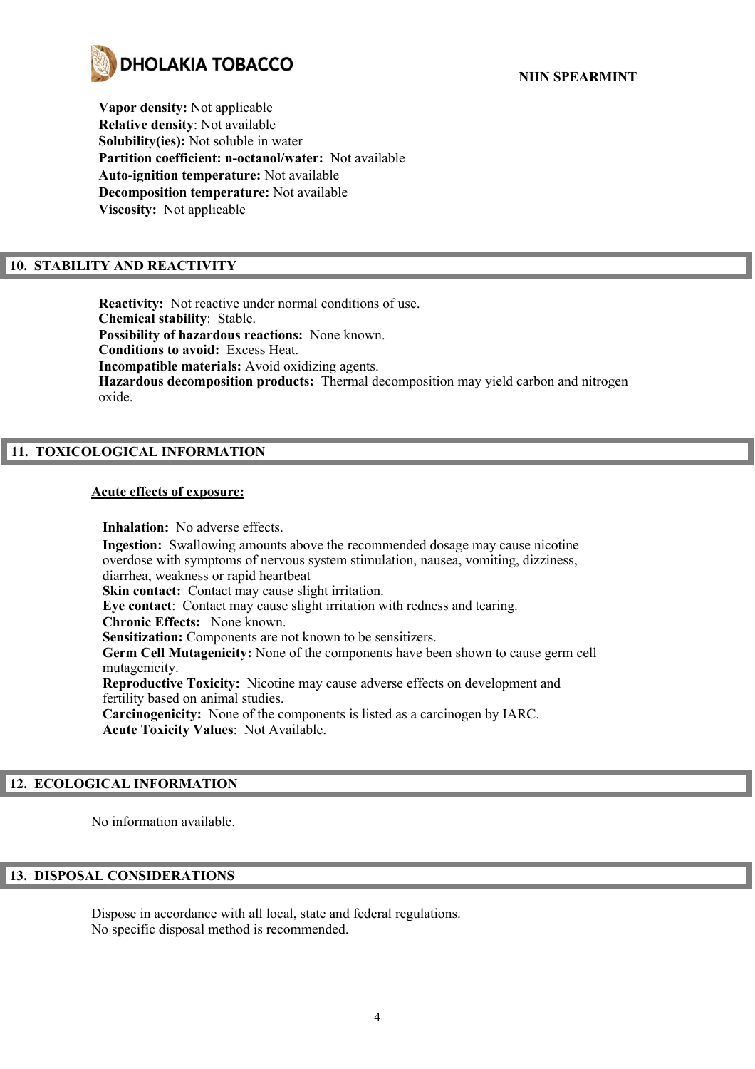

**Vapor density:** Not applicable **Relative density**: Not available **Solubility(ies):** Not soluble in water **Partition coefficient: n-octanol/water:** Not available **Auto-ignition temperature:** Not available **Decomposition temperature:** Not available **Viscosity:** Not applicable

# **10. STABILITY AND REACTIVITY**

**Reactivity:** Not reactive under normal conditions of use. **Chemical stability**: Stable. **Possibility of hazardous reactions:** None known. **Conditions to avoid:** Excess Heat. **Incompatible materials:** Avoid oxidizing agents. **Hazardous decomposition products:** Thermal decomposition may yield carbon and nitrogen oxide.

# **11. TOXICOLOGICAL INFORMATION**

### **Acute effects of exposure:**

**Inhalation:** No adverse effects. **Ingestion:** Swallowing amounts above the recommended dosage may cause nicotine overdose with symptoms of nervous system stimulation, nausea, vomiting, dizziness, diarrhea, weakness or rapid heartbeat **Skin contact:** Contact may cause slight irritation. **Eye contact**: Contact may cause slight irritation with redness and tearing. **Chronic Effects:** None known. **Sensitization:** Components are not known to be sensitizers. **Germ Cell Mutagenicity:** None of the components have been shown to cause germ cell mutagenicity. **Reproductive Toxicity:** Nicotine may cause adverse effects on development and fertility based on animal studies. **Carcinogenicity:** None of the components is listed as a carcinogen by IARC. **Acute Toxicity Values**: Not Available.

# **12. ECOLOGICAL INFORMATION**

No information available.

# **13. DISPOSAL CONSIDERATIONS**

Dispose in accordance with all local, state and federal regulations. No specific disposal method is recommended.